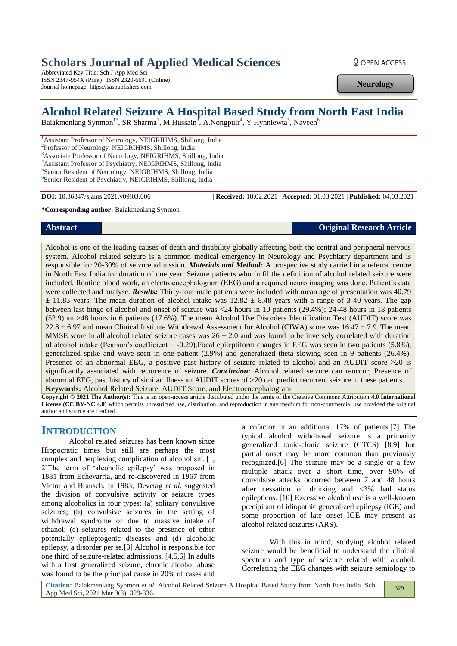# **Scholars Journal of Applied Medical Sciences**

Abbreviated Key Title: Sch J App Med Sci ISSN 2347-954X (Print) | ISSN 2320-6691 (Online) Journal homepage: https://saspublishers.com

**a** OPEN ACCESS

**Neurology**

# **Alcohol Related Seizure A Hospital Based Study from North East India**

Baiakmenlang Synmon<sup>1\*</sup>, SR Sharma<sup>2</sup>, M Hussain<sup>3</sup>, A.Nongpuir<sup>4</sup>, Y Hynniewta<sup>5</sup>, Naveen<sup>6</sup>

<sup>1</sup>Assistant Professor of Neurology, NEIGRIHMS, Shillong, India Professor of Neurology, NEIGRIHMS, Shillong, India <sup>3</sup>Associate Professor of Neurology, NEIGRIHMS, Shillong, India Assistant Professor of Psychiatry, NEIGRIHMS, Shillong, India Senior Resident of Neurology, NEIGRIHMS, Shillong, India Senior Resident of Psychiatry, NEIGRIHMS, Shillong, India

**DOI:** 10.36347/sjams.2021.v09i03.006 | **Received:** 18.02.2021 | **Accepted:** 01.03.2021 | **Published:** 04.03.2021

**\*Corresponding author:** Baiakmenlang Synmon

## **Abstract Original Research Article**

Alcohol is one of the leading causes of death and disability globally affecting both the central and peripheral nervous system. Alcohol related seizure is a common medical emergency in Neurology and Psychiatry department and is responsible for 20-30% of seizure admission. *Materials and Method:* A prospective study carried in a referral centre in North East India for duration of one year. Seizure patients who fulfil the definition of alcohol related seizure were included. Routine blood work, an electroencephalogram (EEG) and a required neuro imaging was done. Patient's data were collected and analyse. *Results:* Thirty-four male patients were included with mean age of presentation was 40.79  $\pm$  11.85 years. The mean duration of alcohol intake was 12.82  $\pm$  8.48 years with a range of 3-40 years. The gap between last binge of alcohol and onset of seizure was <24 hours in 10 patients (29.4%); 24-48 hours in 18 patients (52.9) an >48 hours in 6 patients (17.6%). The mean Alcohol Use Disorders Identification Test (AUDIT) score was 22.8  $\pm$  6.97 and mean Clinical Institute Withdrawal Assessment for Alcohol (CIWA) score was 16.47  $\pm$  7.9. The mean MMSE score in all alcohol related seizure cases was  $26 \pm 2.0$  and was found to be inversely correlated with duration of alcohol intake (Pearson's coefficient = -0.29).Focal epileptiform changes in EEG was seen in two patients (5.8%), generalized spike and wave seen in one patient (2.9%) and generalized theta slowing seen in 9 patients (26.4%). Presence of an abnormal EEG, a positive past history of seizure related to alcohol and an AUDIT score >20 is significantly associated with recurrence of seizure. *Conclusion:* Alcohol related seizure can reoccur; Presence of abnormal EEG, past history of similar illness an AUDIT scores of >20 can predict recurrent seizure in these patients. **Keywords:** Alcohol Related Seizure, AUDIT Score, and Electroencephalogram.

**Copyright © 2021 The Author(s):** This is an open-access article distributed under the terms of the Creative Commons Attribution **4.0 International License (CC BY-NC 4.0)** which permits unrestricted use, distribution, and reproduction in any medium for non-commercial use provided the original author and source are credited.

## **INTRODUCTION**

Alcohol related seizures has been known since Hippocratic times but still are perhaps the most complex and perplexing complication of alcoholism. [1, 2]The term of 'alcoholic epilepsy' was proposed in 1881 from Echevarria, and re-discovered in 1967 from Victor and Brausch. In 1983, Devetag *et al*. suggested the division of convulsive activity or seizure types among alcoholics in four types: (a) solitary convulsive seizures; (b) convulsive seizures in the setting of withdrawal syndrome or due to massive intake of ethanol; (c) seizures related to the presence of other potentially epileptogenic diseases and (d) alcoholic epilepsy, a disorder per se.[3] Alcohol is responsible for one third of seizure-related admissions. [4,5,6] In adults with a first generalized seizure, chronic alcohol abuse was found to be the principal cause in 20% of cases and

a cofactor in an additional 17% of patients.[7] The typical alcohol withdrawal seizure is a primarily generalized tonic-clonic seizure (GTCS) [8,9] but partial onset may be more common than previously recognized.[6] The seizure may be a single or a few multiple attack over a short time, over 90% of convulsive attacks occurred between 7 and 48 hours after cessation of drinking and <3% had status epilepticus. [10] Excessive alcohol use is a well-known precipitant of idiopathic generalized epilepsy (IGE) and some proportion of late onset IGE may present as alcohol related seizures (ARS).

With this in mind, studying alcohol related seizure would be beneficial to understand the clinical spectrum and type of seizure related with alcohol. Correlating the EEG changes with seizure semiology to

**Citation:** Baiakmenlang Synmon *et al*. Alcohol Related Seizure A Hospital Based Study from North East India. Sch J App Med Sci, 2021 Mar 9(3): 329-336. 329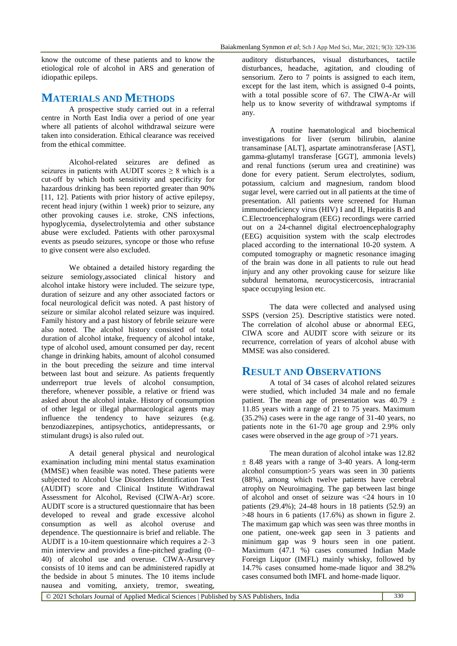know the outcome of these patients and to know the etiological role of alcohol in ARS and generation of idiopathic epileps.

## **MATERIALS AND METHODS**

A prospective study carried out in a referral centre in North East India over a period of one year where all patients of alcohol withdrawal seizure were taken into consideration. Ethical clearance was received from the ethical committee.

Alcohol-related seizures are defined as seizures in patients with AUDIT scores  $\geq 8$  which is a cut-off by which both sensitivity and specificity for hazardous drinking has been reported greater than 90% [11, 12]. Patients with prior history of active epilepsy, recent head injury (within 1 week) prior to seizure, any other provoking causes i.e. stroke, CNS infections, hypoglycemia, dyselectrolytemia and other substance abuse were excluded. Patients with other paroxysmal events as pseudo seizures, syncope or those who refuse to give consent were also excluded.

We obtained a detailed history regarding the seizure semiology,associated clinical history and alcohol intake history were included. The seizure type, duration of seizure and any other associated factors or focal neurological deficit was noted. A past history of seizure or similar alcohol related seizure was inquired. Family history and a past history of febrile seizure were also noted. The alcohol history consisted of total duration of alcohol intake, frequency of alcohol intake, type of alcohol used, amount consumed per day, recent change in drinking habits, amount of alcohol consumed in the bout preceding the seizure and time interval between last bout and seizure. As patients frequently underreport true levels of alcohol consumption, therefore, whenever possible, a relative or friend was asked about the alcohol intake. History of consumption of other legal or illegal pharmacological agents may influence the tendency to have seizures (e.g. benzodiazepines, antipsychotics, antidepressants, or stimulant drugs) is also ruled out.

A detail general physical and neurological examination including mini mental status examination (MMSE) when feasible was noted. These patients were subjected to Alcohol Use Disorders Identification Test (AUDIT) score and Clinical Institute Withdrawal Assessment for Alcohol, Revised (CIWA-Ar) score. AUDIT score is a structured questionnaire that has been developed to reveal and grade excessive alcohol consumption as well as alcohol overuse and dependence. The questionnaire is brief and reliable. The AUDIT is a 10-item questionnaire which requires a 2–3 min interview and provides a fine-pitched grading (0– 40) of alcohol use and overuse. CIWA-Arsurvey consists of 10 items and can be administered rapidly at the bedside in about 5 minutes. The 10 items include nausea and vomiting, anxiety, tremor, sweating,

auditory disturbances, visual disturbances, tactile disturbances, headache, agitation, and clouding of sensorium. Zero to 7 points is assigned to each item, except for the last item, which is assigned 0-4 points, with a total possible score of 67. The CIWA-Ar will help us to know severity of withdrawal symptoms if any.

A routine haematological and biochemical investigations for liver (serum bilirubin, alanine transaminase [ALT], aspartate aminotransferase [AST], gamma-glutamyl transferase [GGT], ammonia levels) and renal functions (serum urea and creatinine) was done for every patient. Serum electrolytes, sodium, potassium, calcium and magnesium, random blood sugar level, were carried out in all patients at the time of presentation. All patients were screened for Human immunodeficiency virus (HIV) I and II, Hepatitis B and C.Electroencephalogram (EEG) recordings were carried out on a 24-channel digital electroencephalography (EEG) acquisition system with the scalp electrodes placed according to the international 10-20 system. A computed tomography or magnetic resonance imaging of the brain was done in all patients to rule out head injury and any other provoking cause for seizure like subdural hematoma, neurocysticercosis, intracranial space occupying lesion etc.

The data were collected and analysed using SSPS (version 25). Descriptive statistics were noted. The correlation of alcohol abuse or abnormal EEG, CIWA score and AUDIT score with seizure or its recurrence, correlation of years of alcohol abuse with MMSE was also considered.

## **RESULT AND OBSERVATIONS**

A total of 34 cases of alcohol related seizures were studied, which included 34 male and no female patient. The mean age of presentation was  $40.79 \pm 10^{-10}$ 11.85 years with a range of 21 to 75 years. Maximum (35.2%) cases were in the age range of 31-40 years, no patients note in the 61-70 age group and 2.9% only cases were observed in the age group of >71 years.

The mean duration of alcohol intake was 12.82  $\pm$  8.48 years with a range of 3-40 years. A long-term alcohol consumption>5 years was seen in 30 patients (88%), among which twelve patients have cerebral atrophy on Neuroimaging. The gap between last binge of alcohol and onset of seizure was <24 hours in 10 patients (29.4%); 24-48 hours in 18 patients (52.9) an >48 hours in 6 patients (17.6%) as shown in figure 2. The maximum gap which was seen was three months in one patient, one-week gap seen in 3 patients and minimum gap was 9 hours seen in one patient. Maximum (47.1 %) cases consumed Indian Made Foreign Liquor (IMFL) mainly whisky, followed by 14.7% cases consumed home-made liquor and 38.2% cases consumed both IMFL and home-made liquor.

© 2021 Scholars Journal of Applied Medical Sciences | Published by SAS Publishers, India 330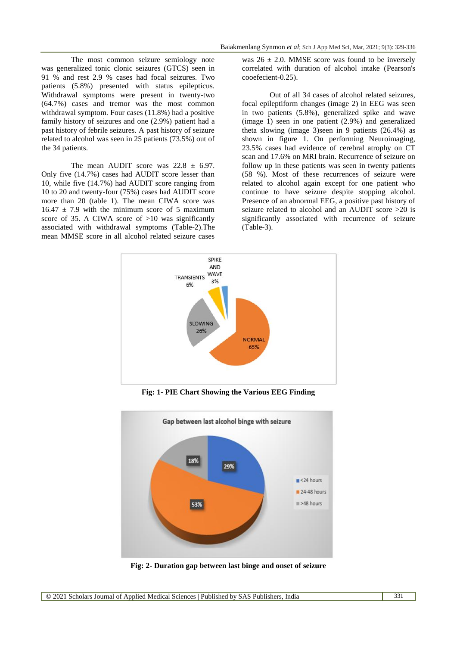The most common seizure semiology note was generalized tonic clonic seizures (GTCS) seen in 91 % and rest 2.9 % cases had focal seizures. Two patients (5.8%) presented with status epilepticus. Withdrawal symptoms were present in twenty-two (64.7%) cases and tremor was the most common withdrawal symptom. Four cases (11.8%) had a positive family history of seizures and one (2.9%) patient had a past history of febrile seizures. A past history of seizure related to alcohol was seen in 25 patients (73.5%) out of the 34 patients.

The mean AUDIT score was  $22.8 \pm 6.97$ . Only five (14.7%) cases had AUDIT score lesser than 10, while five (14.7%) had AUDIT score ranging from 10 to 20 and twenty-four (75%) cases had AUDIT score more than 20 (table 1). The mean CIWA score was  $16.47 \pm 7.9$  with the minimum score of 5 maximum score of 35. A CIWA score of >10 was significantly associated with withdrawal symptoms (Table-2).The mean MMSE score in all alcohol related seizure cases

was  $26 \pm 2.0$ . MMSE score was found to be inversely correlated with duration of alcohol intake (Pearson's cooefecient-0.25).

Out of all 34 cases of alcohol related seizures, focal epileptiform changes (image 2) in EEG was seen in two patients (5.8%), generalized spike and wave (image 1) seen in one patient (2.9%) and generalized theta slowing (image 3)seen in 9 patients (26.4%) as shown in figure 1. On performing Neuroimaging, 23.5% cases had evidence of cerebral atrophy on CT scan and 17.6% on MRI brain. Recurrence of seizure on follow up in these patients was seen in twenty patients (58 %). Most of these recurrences of seizure were related to alcohol again except for one patient who continue to have seizure despite stopping alcohol. Presence of an abnormal EEG, a positive past history of seizure related to alcohol and an AUDIT score >20 is significantly associated with recurrence of seizure (Table-3).



**Fig: 1- PIE Chart Showing the Various EEG Finding**



**Fig: 2- Duration gap between last binge and onset of seizure**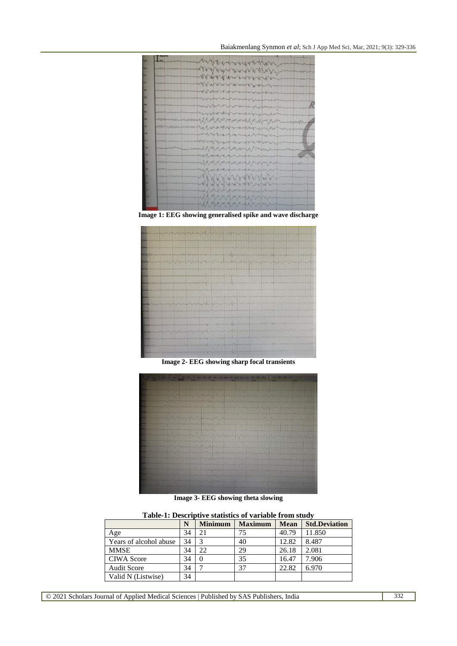#### Baiakmenlang Synmon *et al*; Sch J App Med Sci, Mar, 2021; 9(3): 329-336



**Image 1: EEG showing generalised spike and wave discharge**



**Image 2- EEG showing sharp focal transients**



**Image 3- EEG showing theta slowing**

**Table-1: Descriptive statistics of variable from study**

|                        | N  | <b>Minimum</b> | <b>Maximum</b> | <b>Mean</b> | <b>Std.Deviation</b> |  |
|------------------------|----|----------------|----------------|-------------|----------------------|--|
| Age                    | 34 | 21             | 75             | 40.79       | 11.850               |  |
| Years of alcohol abuse | 34 | 3              | 40             | 12.82       | 8.487                |  |
| <b>MMSE</b>            | 34 | 22             | 29             | 26.18       | 2.081                |  |
| <b>CIWA Score</b>      | 34 |                | 35             | 16.47       | 7.906                |  |
| <b>Audit Score</b>     | 34 | −              | 37             | 22.82       | 6.970                |  |
| Valid N (Listwise)     | 34 |                |                |             |                      |  |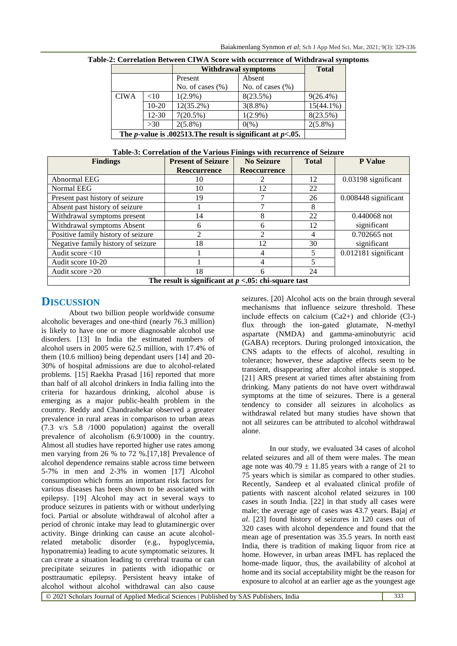| 2. Correlation Derween Crivin Beore with occurrence or iviting awar sym |           |                            |                      |              |  |
|-------------------------------------------------------------------------|-----------|----------------------------|----------------------|--------------|--|
|                                                                         |           | <b>Withdrawal symptoms</b> |                      | <b>Total</b> |  |
|                                                                         |           | Present                    | Absent               |              |  |
|                                                                         |           | No. of cases $(\% )$       | No. of cases $(\% )$ |              |  |
| <b>CIWA</b>                                                             | <10       | $1(2.9\%)$                 | 8(23.5%)             | $9(26.4\%)$  |  |
|                                                                         | $10-20$   | 12(35.2%)                  | $3(8.8\%)$           | $15(44.1\%)$ |  |
|                                                                         | $12 - 30$ | $7(20.5\%)$                | $1(2.9\%)$           | 8(23.5%)     |  |
|                                                                         | >30       | $2(5.8\%)$                 | 0(% )                | $2(5.8\%)$   |  |
| The <i>p</i> -value is .002513. The result is significant at $p<0.05$ . |           |                            |                      |              |  |

|  | Table-3: Correlation of the Various Finings with recurrence of Seizure |
|--|------------------------------------------------------------------------|
|--|------------------------------------------------------------------------|

| <b>Findings</b>                                          | <b>Present of Seizure</b> | <b>No Seizure</b>   | <b>Total</b> | <b>P</b> Value       |  |
|----------------------------------------------------------|---------------------------|---------------------|--------------|----------------------|--|
|                                                          | Reoccurrence              | <b>Reoccurrence</b> |              |                      |  |
| Abnormal EEG                                             | 10                        |                     | 12           | 0.03198 significant  |  |
| Normal EEG                                               | 10                        | 12                  | 22           |                      |  |
| Present past history of seizure                          | 19                        |                     | 26           | 0.008448 significant |  |
| Absent past history of seizure                           |                           |                     | 8            |                      |  |
| Withdrawal symptoms present                              | 14                        | 8                   | 22           | $0.440068$ not       |  |
| Withdrawal symptoms Absent                               | h                         | 6                   | 12           | significant          |  |
| Positive family history of seizure                       |                           | 2                   | 4            | $0.702665$ not       |  |
| Negative family history of seizure                       | 18                        | 12                  | 30           | significant          |  |
| Audit score $<$ 10                                       |                           | 4                   |              | 0.012181 significant |  |
| Audit score 10-20                                        |                           | 4                   |              |                      |  |
| Audit score $>20$                                        | 18                        | 6                   | 24           |                      |  |
| The result is significant at $n < 0.6$ : chi-square tast |                           |                     |              |                      |  |

**The result is significant at** *p* **<.05: chi-square tast**

## **DISCUSSION**

About two billion people worldwide consume alcoholic beverages and one-third (nearly 76.3 million) is likely to have one or more diagnosable alcohol use disorders. [13] In India the estimated numbers of alcohol users in 2005 were 62.5 million, with 17.4% of them (10.6 million) being dependant users [14] and 20- 30% of hospital admissions are due to alcohol-related problems. [15] Raekha Prasad [16] reported that more than half of all alcohol drinkers in India falling into the criteria for hazardous drinking, alcohol abuse is emerging as a major public-health problem in the country. Reddy and Chandrashekar observed a greater prevalence in rural areas in comparison to urban areas (7.3 v/s 5.8 /1000 population) against the overall prevalence of alcoholism (6.9/1000) in the country. Almost all studies have reported higher use rates among men varying from 26 % to 72 %.[17,18] Prevalence of alcohol dependence remains stable across time between 5-7% in men and 2-3% in women [17] Alcohol consumption which forms an important risk factors for various diseases has been shown to be associated with epilepsy. [19] Alcohol may act in several ways to produce seizures in patients with or without underlying foci. Partial or absolute withdrawal of alcohol after a period of chronic intake may lead to glutaminergic over activity. Binge drinking can cause an acute alcoholrelated metabolic disorder (e.g., hypoglycemia, hyponatremia) leading to acute symptomatic seizures. It can create a situation leading to cerebral trauma or can precipitate seizures in patients with idiopathic or posttraumatic epilepsy. Persistent heavy intake of alcohol without alcohol withdrawal can also cause

seizures. [20] Alcohol acts on the brain through several mechanisms that influence seizure threshold. These include effects on calcium (Ca2+) and chloride (Cl-) flux through the ion-gated glutamate, N-methyl aspartate (NMDA) and gamma-aminobutyric acid (GABA) receptors. During prolonged intoxication, the CNS adapts to the effects of alcohol, resulting in tolerance; however, these adaptive effects seem to be transient, disappearing after alcohol intake is stopped. [21] ARS present at varied times after abstaining from drinking. Many patients do not have overt withdrawal symptoms at the time of seizures. There is a general tendency to consider all seizures in alcoholics as withdrawal related but many studies have shown that not all seizures can be attributed to alcohol withdrawal alone.

In our study, we evaluated 34 cases of alcohol related seizures and all of them were males. The mean age note was  $40.79 \pm 11.85$  years with a range of 21 to 75 years which is similar as compared to other studies. Recently, Sandeep et al evaluated clinical profile of patients with nascent alcohol related seizures in 100 cases in south India. [22] in that study all cases were male; the average age of cases was 43.7 years. Bajaj *et al*. [23] found history of seizures in 120 cases out of 320 cases with alcohol dependence and found that the mean age of presentation was 35.5 years. In north east India, there is tradition of making liquor from rice at home. However, in urban areas IMFL has replaced the home-made liquor, thus, the availability of alcohol at home and its social acceptability might be the reason for exposure to alcohol at an earlier age as the youngest age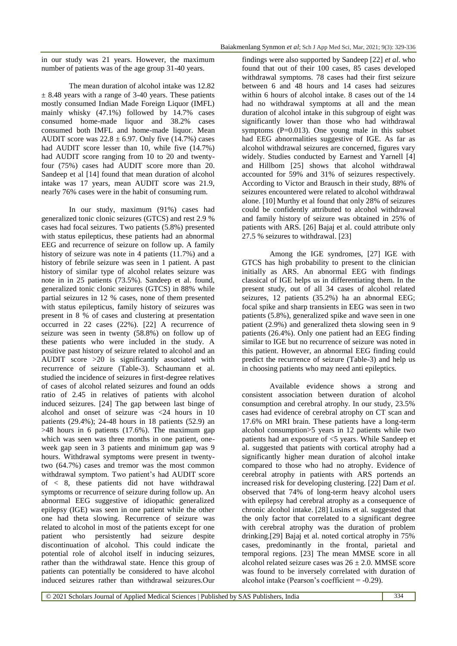in our study was 21 years. However, the maximum number of patients was of the age group 31-40 years.

The mean duration of alcohol intake was 12.82  $\pm$  8.48 years with a range of 3-40 years. These patients mostly consumed Indian Made Foreign Liquor (IMFL) mainly whisky (47.1%) followed by 14.7% cases consumed home-made liquor and 38.2% cases consumed both IMFL and home-made liquor. Mean AUDIT score was  $22.8 \pm 6.97$ . Only five (14.7%) cases had AUDIT score lesser than 10, while five (14.7%) had AUDIT score ranging from 10 to 20 and twentyfour (75%) cases had AUDIT score more than 20. Sandeep et al [14] found that mean duration of alcohol intake was 17 years, mean AUDIT score was 21.9, nearly 76% cases were in the habit of consuming rum.

In our study, maximum (91%) cases had generalized tonic clonic seizures (GTCS) and rest 2.9 % cases had focal seizures. Two patients (5.8%) presented with status epilepticus, these patients had an abnormal EEG and recurrence of seizure on follow up. A family history of seizure was note in 4 patients (11.7%) and a history of febrile seizure was seen in 1 patient. A past history of similar type of alcohol relates seizure was note in in 25 patients (73.5%). Sandeep et al. found, generalized tonic clonic seizures (GTCS) in 88% while partial seizures in 12 % cases, none of them presented with status epilepticus, family history of seizures was present in 8 % of cases and clustering at presentation occurred in 22 cases (22%). [22] A recurrence of seizure was seen in twenty (58.8%) on follow up of these patients who were included in the study. A positive past history of seizure related to alcohol and an AUDIT score >20 is significantly associated with recurrence of seizure (Table-3). Schaumann et al. studied the incidence of seizures in first-degree relatives of cases of alcohol related seizures and found an odds ratio of 2.45 in relatives of patients with alcohol induced seizures. [24] The gap between last binge of alcohol and onset of seizure was <24 hours in 10 patients (29.4%); 24-48 hours in 18 patients (52.9) an >48 hours in 6 patients (17.6%). The maximum gap which was seen was three months in one patient, oneweek gap seen in 3 patients and minimum gap was 9 hours. Withdrawal symptoms were present in twentytwo (64.7%) cases and tremor was the most common withdrawal symptom. Two patient's had AUDIT score of < 8, these patients did not have withdrawal symptoms or recurrence of seizure during follow up. An abnormal EEG suggestive of idiopathic generalized epilepsy (IGE) was seen in one patient while the other one had theta slowing. Recurrence of seizure was related to alcohol in most of the patients except for one patient who persistently had seizure despite discontinuation of alcohol. This could indicate the potential role of alcohol itself in inducing seizures, rather than the withdrawal state. Hence this group of patients can potentially be considered to have alcohol induced seizures rather than withdrawal seizures.Our

findings were also supported by Sandeep [22] *et al*. who found that out of their 100 cases, 85 cases developed withdrawal symptoms. 78 cases had their first seizure between 6 and 48 hours and 14 cases had seizures within 6 hours of alcohol intake. 8 cases out of the 14 had no withdrawal symptoms at all and the mean duration of alcohol intake in this subgroup of eight was significantly lower than those who had withdrawal symptoms  $(P=0.013)$ . One young male in this subset had EEG abnormalities suggestive of IGE. As far as alcohol withdrawal seizures are concerned, figures vary widely. Studies conducted by Earnest and Yarnell [4] and Hillbom [25] shows that alcohol withdrawal accounted for 59% and 31% of seizures respectively. According to Victor and Brausch in their study, 88% of seizures encountered were related to alcohol withdrawal alone. [10] Murthy et al found that only 28% of seizures could be confidently attributed to alcohol withdrawal and family history of seizure was obtained in 25% of patients with ARS. [26] Bajaj et al. could attribute only 27.5 % seizures to withdrawal. [23]

Among the IGE syndromes, [27] IGE with GTCS has high probability to present to the clinician initially as ARS. An abnormal EEG with findings classical of IGE helps us in differentiating them. In the present study, out of all 34 cases of alcohol related seizures, 12 patients (35.2%) ha an abnormal EEG; focal spike and sharp transients in EEG was seen in two patients (5.8%), generalized spike and wave seen in one patient (2.9%) and generalized theta slowing seen in 9 patients (26.4%). Only one patient had an EEG finding similar to IGE but no recurrence of seizure was noted in this patient. However, an abnormal EEG finding could predict the recurrence of seizure (Table-3) and help us in choosing patients who may need anti epileptics.

Available evidence shows a strong and consistent association between duration of alcohol consumption and cerebral atrophy. In our study, 23.5% cases had evidence of cerebral atrophy on CT scan and 17.6% on MRI brain. These patients have a long-term alcohol consumption>5 years in 12 patients while two patients had an exposure of <5 years. While Sandeep et al. suggested that patients with cortical atrophy had a significantly higher mean duration of alcohol intake compared to those who had no atrophy. Evidence of cerebral atrophy in patients with ARS portends an increased risk for developing clustering. [22] Dam *et al*. observed that 74% of long-term heavy alcohol users with epilepsy had cerebral atrophy as a consequence of chronic alcohol intake. [28] Lusins et al. suggested that the only factor that correlated to a significant degree with cerebral atrophy was the duration of problem drinking.[29] Bajaj et al. noted cortical atrophy in 75% cases, predominantly in the frontal, parietal and temporal regions. [23] The mean MMSE score in all alcohol related seizure cases was  $26 \pm 2.0$ . MMSE score was found to be inversely correlated with duration of alcohol intake (Pearson's coefficient = -0.29).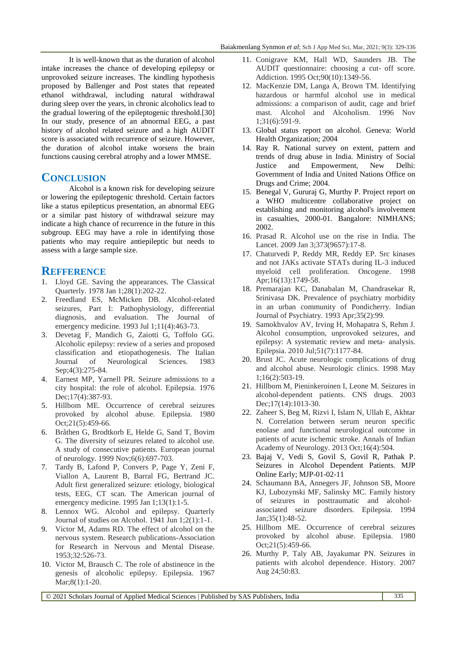It is well-known that as the duration of alcohol intake increases the chance of developing epilepsy or unprovoked seizure increases. The kindling hypothesis proposed by Ballenger and Post states that repeated ethanol withdrawal, including natural withdrawal during sleep over the years, in chronic alcoholics lead to the gradual lowering of the epileptogenic threshold.[30] In our study, presence of an abnormal EEG, a past history of alcohol related seizure and a high AUDIT score is associated with recurrence of seizure. However, the duration of alcohol intake worsens the brain functions causing cerebral atrophy and a lower MMSE.

## **CONCLUSION**

Alcohol is a known risk for developing seizure or lowering the epileptogenic threshold. Certain factors like a status epilepticus presentation, an abnormal EEG or a similar past history of withdrawal seizure may indicate a high chance of recurrence in the future in this subgroup. EEG may have a role in identifying those patients who may require antiepileptic but needs to assess with a large sample size.

#### **REFFERENCE**

- 1. Lloyd GE. Saving the appearances. The Classical Quarterly. 1978 Jan 1;28(1):202-22.
- 2. Freedland ES, McMicken DB. Alcohol-related seizures, Part I: Pathophysiology, differential diagnosis, and evaluation. The Journal of emergency medicine. 1993 Jul 1;11(4):463-73.
- 3. Devetag F, Mandich G, Zaiotti G, Toffolo GG. Alcoholic epilepsy: review of a series and proposed classification and etiopathogenesis. The Italian Journal of Neurological Sciences. 1983 Sep;4(3):275-84.
- 4. Earnest MP, Yarnell PR. Seizure admissions to a city hospital: the role of alcohol. Epilepsia. 1976 Dec;17(4):387-93.
- 5. Hillbom ME. Occurrence of cerebral seizures provoked by alcohol abuse. Epilepsia. 1980 Oct;21(5):459-66.
- 6. Bråthen G, Brodtkorb E, Helde G, Sand T, Bovim G. The diversity of seizures related to alcohol use. A study of consecutive patients. European journal of neurology. 1999 Nov;6(6):697-703.
- 7. Tardy B, Lafond P, Convers P, Page Y, Zeni F, Viallon A, Laurent B, Barral FG, Bertrand JC. Adult first generalized seizure: etiology, biological tests, EEG, CT scan. The American journal of emergency medicine. 1995 Jan 1;13(1):1-5.
- 8. Lennox WG. Alcohol and epilepsy. Quarterly Journal of studies on Alcohol. 1941 Jun 1;2(1):1-1.
- 9. Victor M, Adams RD. The effect of alcohol on the nervous system. Research publications-Association for Research in Nervous and Mental Disease. 1953;32:526-73.
- 10. Victor M, Brausch C. The role of abstinence in the genesis of alcoholic epilepsy. Epilepsia. 1967 Mar;8(1):1-20.
- 11. Conigrave KM, Hall WD, Saunders JB. The AUDIT questionnaire: choosing a cut‐ off score. Addiction. 1995 Oct;90(10):1349-56.
- 12. MacKenzie DM, Langa A, Brown TM. Identifying hazardous or harmful alcohol use in medical admissions: a comparison of audit, cage and brief mast. Alcohol and Alcoholism. 1996 Nov 1;31(6):591-9.
- 13. Global status report on alcohol. Geneva: World Health Organization; 2004
- 14. Ray R. National survey on extent, pattern and trends of drug abuse in India. Ministry of Social Justice and Empowerment, New Delhi: Government of India and United Nations Office on Drugs and Crime; 2004.
- 15. Benegal V, Gururaj G, Murthy P. Project report on a WHO multicentre collaborative project on establishing and monitoring alcohol's involvement in casualties, 2000-01. Bangalore: NIMHANS; 2002.
- 16. Prasad R. Alcohol use on the rise in India. The Lancet. 2009 Jan 3;373(9657):17-8.
- 17. Chaturvedi P, Reddy MR, Reddy EP. Src kinases and not JAKs activate STATs during IL-3 induced myeloid cell proliferation. Oncogene. 1998 Apr;16(13):1749-58.
- 18. Premarajan KC, Danabalan M, Chandrasekar R, Srinivasa DK. Prevalence of psychiatry morbidity in an urban community of Pondicherry. Indian Journal of Psychiatry. 1993 Apr;35(2):99.
- 19. Samokhvalov AV, Irving H, Mohapatra S, Rehm J. Alcohol consumption, unprovoked seizures, and epilepsy: A systematic review and meta‐ analysis. Epilepsia. 2010 Jul;51(7):1177-84.
- 20. Brust JC. Acute neurologic complications of drug and alcohol abuse. Neurologic clinics. 1998 May 1;16(2):503-19.
- 21. Hillbom M, Pieninkeroinen I, Leone M. Seizures in alcohol-dependent patients. CNS drugs. 2003 Dec;17(14):1013-30.
- 22. Zaheer S, Beg M, Rizvi I, Islam N, Ullah E, Akhtar N. Correlation between serum neuron specific enolase and functional neurological outcome in patients of acute ischemic stroke. Annals of Indian Academy of Neurology. 2013 Oct;16(4):504.
- 23. Bajaj V, Vedi S, Govil S, Govil R, Pathak P. Seizures in Alcohol Dependent Patients. MJP Online Early; MJP-01-02-11
- 24. Schaumann BA, Annegers JF, Johnson SB, Moore KJ, Lubozynski MF, Salinsky MC. Family history of seizures in posttraumatic and alcohol‐ associated seizure disorders. Epilepsia. 1994 Jan;35(1):48-52.
- 25. Hillbom ME. Occurrence of cerebral seizures provoked by alcohol abuse. Epilepsia. 1980 Oct;21(5):459-66.
- 26. Murthy P, Taly AB, Jayakumar PN. Seizures in patients with alcohol dependence. History. 2007 Aug 24;50:83.

© 2021 Scholars Journal of Applied Medical Sciences | Published by SAS Publishers, India 335